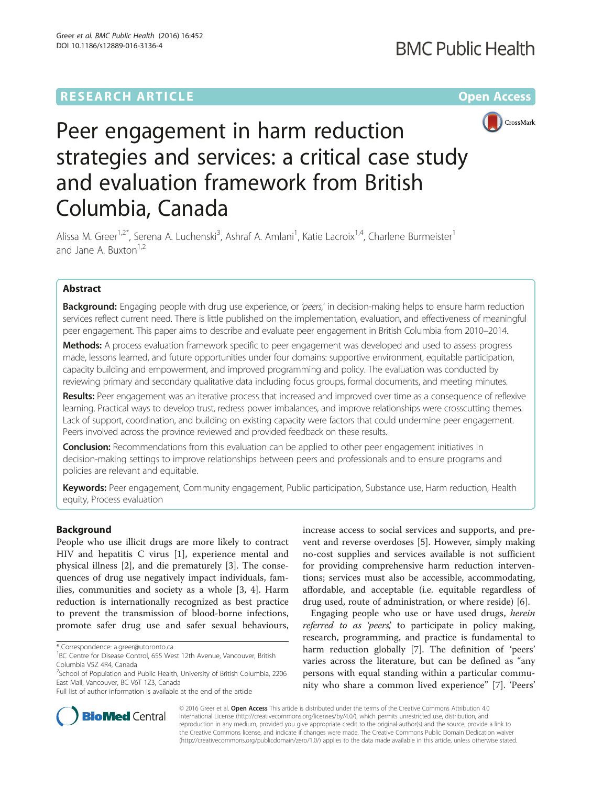## **RESEARCH ARTICLE External Structure Community Community Community Community Community Community Community Community**



# Peer engagement in harm reduction strategies and services: a critical case study and evaluation framework from British Columbia, Canada

Alissa M. Greer<sup>1,2\*</sup>, Serena A. Luchenski<sup>3</sup>, Ashraf A. Amlani<sup>1</sup>, Katie Lacroix<sup>1,4</sup>, Charlene Burmeister<sup>1</sup> and Jane A. Buxton<sup>1,2</sup>

## Abstract

Background: Engaging people with drug use experience, or 'peers,' in decision-making helps to ensure harm reduction services reflect current need. There is little published on the implementation, evaluation, and effectiveness of meaningful peer engagement. This paper aims to describe and evaluate peer engagement in British Columbia from 2010–2014.

Methods: A process evaluation framework specific to peer engagement was developed and used to assess progress made, lessons learned, and future opportunities under four domains: supportive environment, equitable participation, capacity building and empowerment, and improved programming and policy. The evaluation was conducted by reviewing primary and secondary qualitative data including focus groups, formal documents, and meeting minutes.

Results: Peer engagement was an iterative process that increased and improved over time as a consequence of reflexive learning. Practical ways to develop trust, redress power imbalances, and improve relationships were crosscutting themes. Lack of support, coordination, and building on existing capacity were factors that could undermine peer engagement. Peers involved across the province reviewed and provided feedback on these results.

**Conclusion:** Recommendations from this evaluation can be applied to other peer engagement initiatives in decision-making settings to improve relationships between peers and professionals and to ensure programs and policies are relevant and equitable.

Keywords: Peer engagement, Community engagement, Public participation, Substance use, Harm reduction, Health equity, Process evaluation

## Background

People who use illicit drugs are more likely to contract HIV and hepatitis C virus [\[1](#page-7-0)], experience mental and physical illness [[2\]](#page-7-0), and die prematurely [[3\]](#page-7-0). The consequences of drug use negatively impact individuals, families, communities and society as a whole [[3, 4](#page-7-0)]. Harm reduction is internationally recognized as best practice to prevent the transmission of blood-borne infections, promote safer drug use and safer sexual behaviours,

increase access to social services and supports, and prevent and reverse overdoses [\[5\]](#page-7-0). However, simply making no-cost supplies and services available is not sufficient for providing comprehensive harm reduction interventions; services must also be accessible, accommodating, affordable, and acceptable (i.e. equitable regardless of drug used, route of administration, or where reside) [\[6](#page-7-0)].

Engaging people who use or have used drugs, herein referred to as 'peers', to participate in policy making, research, programming, and practice is fundamental to harm reduction globally [[7\]](#page-8-0). The definition of 'peers' varies across the literature, but can be defined as "any persons with equal standing within a particular community who share a common lived experience" [[7](#page-8-0)]. 'Peers'



© 2016 Greer et al. Open Access This article is distributed under the terms of the Creative Commons Attribution 4.0 International License [\(http://creativecommons.org/licenses/by/4.0/](http://creativecommons.org/licenses/by/4.0/)), which permits unrestricted use, distribution, and reproduction in any medium, provided you give appropriate credit to the original author(s) and the source, provide a link to the Creative Commons license, and indicate if changes were made. The Creative Commons Public Domain Dedication waiver [\(http://creativecommons.org/publicdomain/zero/1.0/](http://creativecommons.org/publicdomain/zero/1.0/)) applies to the data made available in this article, unless otherwise stated.

<sup>\*</sup> Correspondence: [a.greer@utoronto.ca](mailto:a.greer@utoronto.ca) <sup>1</sup>

<sup>&</sup>lt;sup>1</sup>BC Centre for Disease Control, 655 West 12th Avenue, Vancouver, British Columbia V5Z 4R4, Canada

<sup>&</sup>lt;sup>2</sup>School of Population and Public Health, University of British Columbia, 2206 East Mall, Vancouver, BC V6T 1Z3, Canada

Full list of author information is available at the end of the article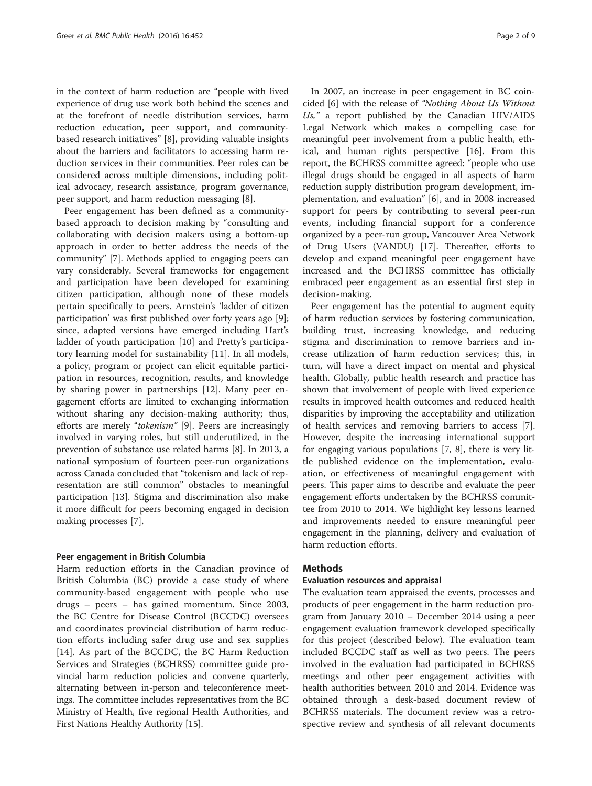in the context of harm reduction are "people with lived experience of drug use work both behind the scenes and at the forefront of needle distribution services, harm reduction education, peer support, and communitybased research initiatives" [\[8\]](#page-8-0), providing valuable insights about the barriers and facilitators to accessing harm reduction services in their communities. Peer roles can be considered across multiple dimensions, including political advocacy, research assistance, program governance, peer support, and harm reduction messaging [[8\]](#page-8-0).

Peer engagement has been defined as a communitybased approach to decision making by "consulting and collaborating with decision makers using a bottom-up approach in order to better address the needs of the community" [[7\]](#page-8-0). Methods applied to engaging peers can vary considerably. Several frameworks for engagement and participation have been developed for examining citizen participation, although none of these models pertain specifically to peers. Arnstein's 'ladder of citizen participation' was first published over forty years ago [\[9](#page-8-0)]; since, adapted versions have emerged including Hart's ladder of youth participation [\[10\]](#page-8-0) and Pretty's participatory learning model for sustainability [[11\]](#page-8-0). In all models, a policy, program or project can elicit equitable participation in resources, recognition, results, and knowledge by sharing power in partnerships [[12\]](#page-8-0). Many peer engagement efforts are limited to exchanging information without sharing any decision-making authority; thus, efforts are merely "tokenism" [\[9](#page-8-0)]. Peers are increasingly involved in varying roles, but still underutilized, in the prevention of substance use related harms [\[8](#page-8-0)]. In 2013, a national symposium of fourteen peer-run organizations across Canada concluded that "tokenism and lack of representation are still common" obstacles to meaningful participation [[13\]](#page-8-0). Stigma and discrimination also make it more difficult for peers becoming engaged in decision making processes [\[7](#page-8-0)].

#### Peer engagement in British Columbia

Harm reduction efforts in the Canadian province of British Columbia (BC) provide a case study of where community-based engagement with people who use drugs – peers – has gained momentum. Since 2003, the BC Centre for Disease Control (BCCDC) oversees and coordinates provincial distribution of harm reduction efforts including safer drug use and sex supplies [[14\]](#page-8-0). As part of the BCCDC, the BC Harm Reduction Services and Strategies (BCHRSS) committee guide provincial harm reduction policies and convene quarterly, alternating between in-person and teleconference meetings. The committee includes representatives from the BC Ministry of Health, five regional Health Authorities, and First Nations Healthy Authority [[15](#page-8-0)].

In 2007, an increase in peer engagement in BC coincided [[6\]](#page-7-0) with the release of "Nothing About Us Without  $U_s$ ," a report published by the Canadian HIV/AIDS Legal Network which makes a compelling case for meaningful peer involvement from a public health, ethical, and human rights perspective [\[16](#page-8-0)]. From this report, the BCHRSS committee agreed: "people who use illegal drugs should be engaged in all aspects of harm reduction supply distribution program development, implementation, and evaluation" [\[6](#page-7-0)], and in 2008 increased support for peers by contributing to several peer-run events, including financial support for a conference organized by a peer-run group, Vancouver Area Network of Drug Users (VANDU) [\[17\]](#page-8-0). Thereafter, efforts to develop and expand meaningful peer engagement have increased and the BCHRSS committee has officially embraced peer engagement as an essential first step in decision-making.

Peer engagement has the potential to augment equity of harm reduction services by fostering communication, building trust, increasing knowledge, and reducing stigma and discrimination to remove barriers and increase utilization of harm reduction services; this, in turn, will have a direct impact on mental and physical health. Globally, public health research and practice has shown that involvement of people with lived experience results in improved health outcomes and reduced health disparities by improving the acceptability and utilization of health services and removing barriers to access [\[7](#page-8-0)]. However, despite the increasing international support for engaging various populations [\[7](#page-8-0), [8\]](#page-8-0), there is very little published evidence on the implementation, evaluation, or effectiveness of meaningful engagement with peers. This paper aims to describe and evaluate the peer engagement efforts undertaken by the BCHRSS committee from 2010 to 2014. We highlight key lessons learned and improvements needed to ensure meaningful peer engagement in the planning, delivery and evaluation of harm reduction efforts.

## **Methods**

## Evaluation resources and appraisal

The evaluation team appraised the events, processes and products of peer engagement in the harm reduction program from January 2010 – December 2014 using a peer engagement evaluation framework developed specifically for this project (described below). The evaluation team included BCCDC staff as well as two peers. The peers involved in the evaluation had participated in BCHRSS meetings and other peer engagement activities with health authorities between 2010 and 2014. Evidence was obtained through a desk-based document review of BCHRSS materials. The document review was a retrospective review and synthesis of all relevant documents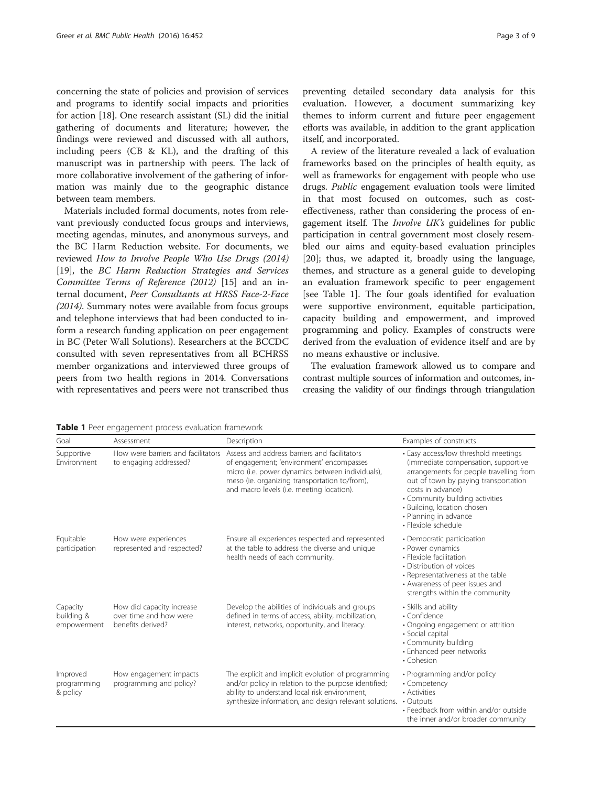concerning the state of policies and provision of services and programs to identify social impacts and priorities for action [[18](#page-8-0)]. One research assistant (SL) did the initial gathering of documents and literature; however, the findings were reviewed and discussed with all authors, including peers (CB & KL), and the drafting of this manuscript was in partnership with peers. The lack of more collaborative involvement of the gathering of information was mainly due to the geographic distance between team members.

Materials included formal documents, notes from relevant previously conducted focus groups and interviews, meeting agendas, minutes, and anonymous surveys, and the BC Harm Reduction website. For documents, we reviewed How to Involve People Who Use Drugs (2014) [[19\]](#page-8-0), the BC Harm Reduction Strategies and Services Committee Terms of Reference (2012) [[15\]](#page-8-0) and an internal document, Peer Consultants at HRSS Face-2-Face (2014). Summary notes were available from focus groups and telephone interviews that had been conducted to inform a research funding application on peer engagement in BC (Peter Wall Solutions). Researchers at the BCCDC consulted with seven representatives from all BCHRSS member organizations and interviewed three groups of peers from two health regions in 2014. Conversations with representatives and peers were not transcribed thus

preventing detailed secondary data analysis for this evaluation. However, a document summarizing key themes to inform current and future peer engagement efforts was available, in addition to the grant application itself, and incorporated.

A review of the literature revealed a lack of evaluation frameworks based on the principles of health equity, as well as frameworks for engagement with people who use drugs. Public engagement evaluation tools were limited in that most focused on outcomes, such as costeffectiveness, rather than considering the process of engagement itself. The Involve UK's guidelines for public participation in central government most closely resembled our aims and equity-based evaluation principles [[20\]](#page-8-0); thus, we adapted it, broadly using the language, themes, and structure as a general guide to developing an evaluation framework specific to peer engagement [see Table 1]. The four goals identified for evaluation were supportive environment, equitable participation, capacity building and empowerment, and improved programming and policy. Examples of constructs were derived from the evaluation of evidence itself and are by no means exhaustive or inclusive.

The evaluation framework allowed us to compare and contrast multiple sources of information and outcomes, increasing the validity of our findings through triangulation

| Goal                                  | Assessment                                                               | Description                                                                                                                                                                                                                                | Examples of constructs                                                                                                                                                                                                                                                                                |
|---------------------------------------|--------------------------------------------------------------------------|--------------------------------------------------------------------------------------------------------------------------------------------------------------------------------------------------------------------------------------------|-------------------------------------------------------------------------------------------------------------------------------------------------------------------------------------------------------------------------------------------------------------------------------------------------------|
| Supportive<br>Environment             | How were barriers and facilitators<br>to engaging addressed?             | Assess and address barriers and facilitators<br>of engagement; 'environment' encompasses<br>micro (i.e. power dynamics between individuals),<br>meso (ie. organizing transportation to/from),<br>and macro levels (i.e. meeting location). | • Easy access/low threshold meetings<br>(immediate compensation, supportive<br>arrangements for people travelling from<br>out of town by paying transportation<br>costs in advance)<br>• Community building activities<br>• Building, location chosen<br>• Planning in advance<br>• Flexible schedule |
| Equitable<br>participation            | How were experiences<br>represented and respected?                       | Ensure all experiences respected and represented<br>at the table to address the diverse and unique<br>health needs of each community.                                                                                                      | • Democratic participation<br>• Power dynamics<br>• Flexible facilitation<br>• Distribution of voices<br>• Representativeness at the table<br>• Awareness of peer issues and<br>strengths within the community                                                                                        |
| Capacity<br>building &<br>empowerment | How did capacity increase<br>over time and how were<br>benefits derived? | Develop the abilities of individuals and groups<br>defined in terms of access, ability, mobilization,<br>interest, networks, opportunity, and literacy.                                                                                    | • Skills and ability<br>• Confidence<br>• Ongoing engagement or attrition<br>· Social capital<br>• Community building<br>• Enhanced peer networks<br>• Cohesion                                                                                                                                       |
| Improved<br>programming<br>& policy   | How engagement impacts<br>programming and policy?                        | The explicit and implicit evolution of programming<br>and/or policy in relation to the purpose identified;<br>ability to understand local risk environment,<br>synthesize information, and design relevant solutions.                      | • Programming and/or policy<br>• Competency<br>• Activities<br>$\cdot$ Outputs<br>• Feedback from within and/or outside<br>the inner and/or broader community                                                                                                                                         |

Table 1 Peer engagement process evaluation framework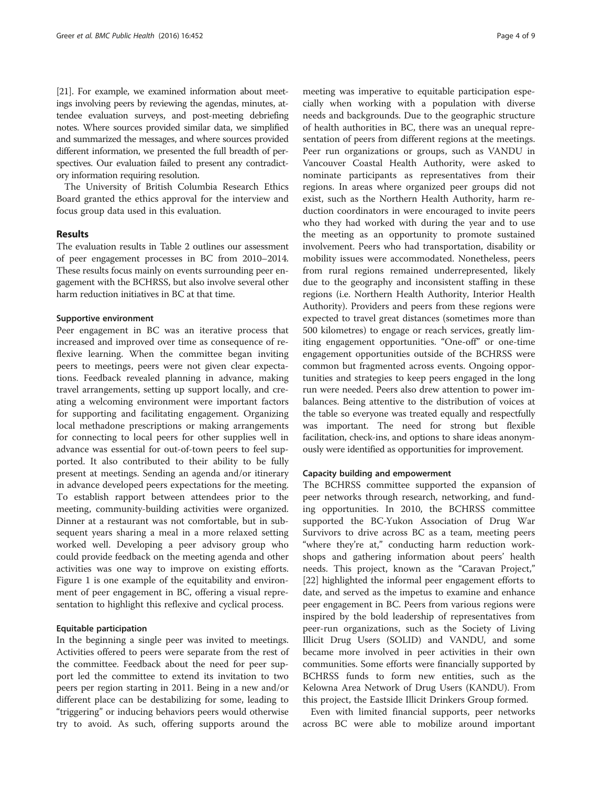[[21](#page-8-0)]. For example, we examined information about meetings involving peers by reviewing the agendas, minutes, attendee evaluation surveys, and post-meeting debriefing notes. Where sources provided similar data, we simplified and summarized the messages, and where sources provided different information, we presented the full breadth of perspectives. Our evaluation failed to present any contradictory information requiring resolution.

The University of British Columbia Research Ethics Board granted the ethics approval for the interview and focus group data used in this evaluation.

## Results

The evaluation results in Table [2](#page-4-0) outlines our assessment of peer engagement processes in BC from 2010–2014. These results focus mainly on events surrounding peer engagement with the BCHRSS, but also involve several other harm reduction initiatives in BC at that time.

#### Supportive environment

Peer engagement in BC was an iterative process that increased and improved over time as consequence of reflexive learning. When the committee began inviting peers to meetings, peers were not given clear expectations. Feedback revealed planning in advance, making travel arrangements, setting up support locally, and creating a welcoming environment were important factors for supporting and facilitating engagement. Organizing local methadone prescriptions or making arrangements for connecting to local peers for other supplies well in advance was essential for out-of-town peers to feel supported. It also contributed to their ability to be fully present at meetings. Sending an agenda and/or itinerary in advance developed peers expectations for the meeting. To establish rapport between attendees prior to the meeting, community-building activities were organized. Dinner at a restaurant was not comfortable, but in subsequent years sharing a meal in a more relaxed setting worked well. Developing a peer advisory group who could provide feedback on the meeting agenda and other activities was one way to improve on existing efforts. Figure [1](#page-5-0) is one example of the equitability and environment of peer engagement in BC, offering a visual representation to highlight this reflexive and cyclical process.

## Equitable participation

In the beginning a single peer was invited to meetings. Activities offered to peers were separate from the rest of the committee. Feedback about the need for peer support led the committee to extend its invitation to two peers per region starting in 2011. Being in a new and/or different place can be destabilizing for some, leading to "triggering" or inducing behaviors peers would otherwise try to avoid. As such, offering supports around the

meeting was imperative to equitable participation especially when working with a population with diverse needs and backgrounds. Due to the geographic structure of health authorities in BC, there was an unequal representation of peers from different regions at the meetings. Peer run organizations or groups, such as VANDU in Vancouver Coastal Health Authority, were asked to nominate participants as representatives from their regions. In areas where organized peer groups did not exist, such as the Northern Health Authority, harm reduction coordinators in were encouraged to invite peers who they had worked with during the year and to use the meeting as an opportunity to promote sustained involvement. Peers who had transportation, disability or mobility issues were accommodated. Nonetheless, peers from rural regions remained underrepresented, likely due to the geography and inconsistent staffing in these regions (i.e. Northern Health Authority, Interior Health Authority). Providers and peers from these regions were expected to travel great distances (sometimes more than 500 kilometres) to engage or reach services, greatly limiting engagement opportunities. "One-off" or one-time engagement opportunities outside of the BCHRSS were common but fragmented across events. Ongoing opportunities and strategies to keep peers engaged in the long run were needed. Peers also drew attention to power imbalances. Being attentive to the distribution of voices at the table so everyone was treated equally and respectfully was important. The need for strong but flexible facilitation, check-ins, and options to share ideas anonymously were identified as opportunities for improvement.

#### Capacity building and empowerment

The BCHRSS committee supported the expansion of peer networks through research, networking, and funding opportunities. In 2010, the BCHRSS committee supported the BC-Yukon Association of Drug War Survivors to drive across BC as a team, meeting peers "where they're at," conducting harm reduction workshops and gathering information about peers' health needs. This project, known as the "Caravan Project," [[22\]](#page-8-0) highlighted the informal peer engagement efforts to date, and served as the impetus to examine and enhance peer engagement in BC. Peers from various regions were inspired by the bold leadership of representatives from peer-run organizations, such as the Society of Living Illicit Drug Users (SOLID) and VANDU, and some became more involved in peer activities in their own communities. Some efforts were financially supported by BCHRSS funds to form new entities, such as the Kelowna Area Network of Drug Users (KANDU). From this project, the Eastside Illicit Drinkers Group formed.

Even with limited financial supports, peer networks across BC were able to mobilize around important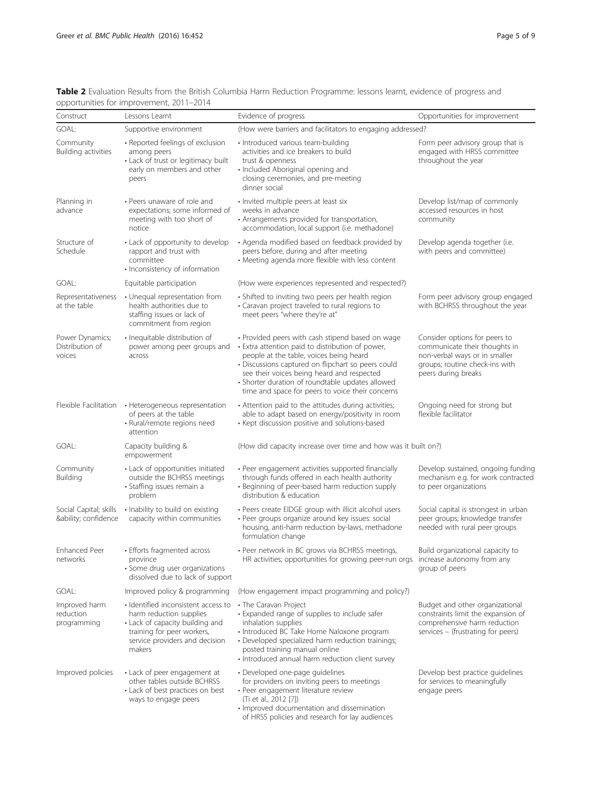| Construct                                     | opportunities for improvement, zon i-zon4<br>Lessons Learnt                                                                                                                 | Evidence of progress                                                                                                                                                                                                                                                                                                                                        | Opportunities for improvement                                                                                                                            |
|-----------------------------------------------|-----------------------------------------------------------------------------------------------------------------------------------------------------------------------------|-------------------------------------------------------------------------------------------------------------------------------------------------------------------------------------------------------------------------------------------------------------------------------------------------------------------------------------------------------------|----------------------------------------------------------------------------------------------------------------------------------------------------------|
| GOAL:                                         | Supportive environment                                                                                                                                                      | (How were barriers and facilitators to engaging addressed?                                                                                                                                                                                                                                                                                                  |                                                                                                                                                          |
| Community<br>Building activities              | • Reported feelings of exclusion<br>among peers<br>• Lack of trust or legitimacy built<br>early on members and other<br>peers                                               | • Introduced various team-building<br>activities and ice breakers to build<br>trust & openness<br>· Included Aboriginal opening and<br>closing ceremonies, and pre-meeting<br>dinner social                                                                                                                                                                 | Form peer advisory group that is<br>engaged with HRSS committee<br>throughout the year                                                                   |
| Planning in<br>advance                        | • Peers unaware of role and<br>expectations; some informed of<br>meeting with too short of<br>notice                                                                        | • Invited multiple peers at least six<br>weeks in advance<br>• Arrangements provided for transportation,<br>accommodation, local support (i.e. methadone)                                                                                                                                                                                                   | Develop list/map of commonly<br>accessed resources in host<br>community                                                                                  |
| Structure of<br>Schedule                      | • Lack of opportunity to develop<br>rapport and trust with<br>committee<br>• Inconsistency of information                                                                   | • Agenda modified based on feedback provided by<br>peers before, during and after meeting<br>• Meeting agenda more flexible with less content                                                                                                                                                                                                               | Develop agenda together (i.e.<br>with peers and committee)                                                                                               |
| GOAL:                                         | Equitable participation                                                                                                                                                     | (How were experiences represented and respected?)                                                                                                                                                                                                                                                                                                           |                                                                                                                                                          |
| Representativeness<br>at the table            | • Unequal representation from<br>health authorities due to<br>staffing issues or lack of<br>commitment from region                                                          | • Shifted to inviting two peers per health region<br>• Caravan project traveled to rural regions to<br>meet peers "where they're at"                                                                                                                                                                                                                        | Form peer advisory group engaged<br>with BCHRSS throughout the year                                                                                      |
| Power Dynamics;<br>Distribution of<br>voices  | · Inequitable distribution of<br>power among peer groups and<br>across                                                                                                      | • Provided peers with cash stipend based on wage<br>• Extra attention paid to distribution of power,<br>people at the table, voices being heard<br>· Discussions captured on flipchart so peers could<br>see their voices being heard and respected<br>• Shorter duration of roundtable updates allowed<br>time and space for peers to voice their concerns | Consider options for peers to<br>communicate their thoughts in<br>non-verbal ways or in smaller<br>groups; routine check-ins with<br>peers during breaks |
| Flexible Facilitation                         | • Heterogeneous representation<br>of peers at the table<br>• Rural/remote regions need<br>attention                                                                         | • Attention paid to the attitudes during activities;<br>able to adapt based on energy/positivity in room<br>• Kept discussion positive and solutions-based                                                                                                                                                                                                  | Ongoing need for strong but<br>flexible facilitator                                                                                                      |
| GOAL:                                         | Capacity building &<br>empowerment                                                                                                                                          | (How did capacity increase over time and how was it built on?)                                                                                                                                                                                                                                                                                              |                                                                                                                                                          |
| Community<br>Building                         | • Lack of opportunities initiated<br>outside the BCHRSS meetings<br>· Staffing issues remain a<br>problem                                                                   | · Peer engagement activities supported financially<br>through funds offered in each health authority<br>• Beginning of peer-based harm reduction supply<br>distribution & education                                                                                                                                                                         | Develop sustained, ongoing funding<br>mechanism e.g. for work contracted<br>to peer organizations                                                        |
| Social Capital; skills<br>&ability confidence | · Inability to build on existing<br>capacity within communities                                                                                                             | • Peers create EIDGE group with illicit alcohol users<br>· Peer groups organize around key issues: social<br>housing, anti-harm reduction by-laws, methadone<br>formulation change                                                                                                                                                                          | Social capital is strongest in urban<br>peer groups; knowledge transfer<br>needed with rural peer groups                                                 |
| Enhanced Peer<br>networks                     | • Efforts fragmented across<br>province<br>· Some drug user organizations<br>dissolved due to lack of support                                                               | • Peer network in BC grows via BCHRSS meetings,<br>HR activities; opportunities for growing peer-run orgs                                                                                                                                                                                                                                                   | Build organizational capacity to<br>increase autonomy from any<br>group of peers                                                                         |
| GOAL:                                         | Improved policy & programming                                                                                                                                               | (How engagement impact programming and policy?)                                                                                                                                                                                                                                                                                                             |                                                                                                                                                          |
| Improved harm<br>reduction<br>programming     | · Identified inconsistent access to<br>harm reduction supplies<br>• Lack of capacity building and<br>training for peer workers,<br>service providers and decision<br>makers | • The Caravan Project<br>• Expanded range of supplies to include safer<br>inhalation supplies<br>· Introduced BC Take Home Naloxone program<br>• Developed specialized harm reduction trainings;<br>posted training manual online<br>· Introduced annual harm reduction client survey                                                                       | Budget and other organizational<br>constraints limit the expansion of<br>comprehensive harm reduction<br>services - (frustrating for peers)              |
| Improved policies                             | • Lack of peer engagement at<br>other tables outside BCHRSS<br>• Lack of best practices on best<br>ways to engage peers                                                     | · Developed one-page guidelines<br>for providers on inviting peers to meetings<br>· Peer engagement literature review<br>(Ti et al., 2012 [7])<br>• Improved documentation and dissemination<br>of HRSS policies and research for lay audiences                                                                                                             | Develop best practice guidelines<br>for services to meaningfully<br>engage peers                                                                         |

<span id="page-4-0"></span>Table 2 Evaluation Results from the British Columbia Harm Reduction Programme: lessons learnt, evidence of progress and opportunities for improvement, 2011–2014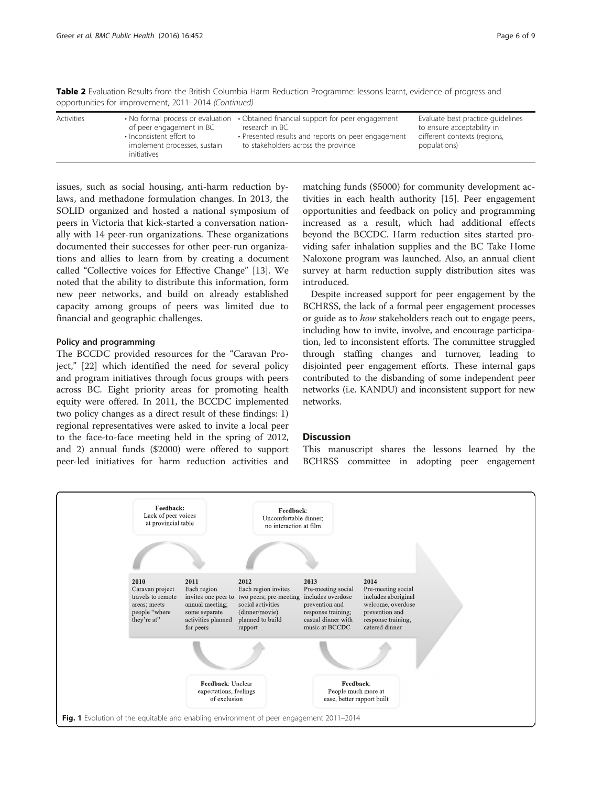<span id="page-5-0"></span>Table 2 Evaluation Results from the British Columbia Harm Reduction Programme: lessons learnt, evidence of progress and opportunities for improvement, 2011–2014 (Continued)

issues, such as social housing, anti-harm reduction bylaws, and methadone formulation changes. In 2013, the SOLID organized and hosted a national symposium of peers in Victoria that kick-started a conversation nationally with 14 peer-run organizations. These organizations documented their successes for other peer-run organizations and allies to learn from by creating a document called "Collective voices for Effective Change" [\[13\]](#page-8-0). We noted that the ability to distribute this information, form new peer networks, and build on already established capacity among groups of peers was limited due to financial and geographic challenges.

## Policy and programming

The BCCDC provided resources for the "Caravan Project," [\[22\]](#page-8-0) which identified the need for several policy and program initiatives through focus groups with peers across BC. Eight priority areas for promoting health equity were offered. In 2011, the BCCDC implemented two policy changes as a direct result of these findings: 1) regional representatives were asked to invite a local peer to the face-to-face meeting held in the spring of 2012, and 2) annual funds (\$2000) were offered to support peer-led initiatives for harm reduction activities and matching funds (\$5000) for community development activities in each health authority [[15\]](#page-8-0). Peer engagement opportunities and feedback on policy and programming increased as a result, which had additional effects beyond the BCCDC. Harm reduction sites started providing safer inhalation supplies and the BC Take Home Naloxone program was launched. Also, an annual client survey at harm reduction supply distribution sites was introduced.

Despite increased support for peer engagement by the BCHRSS, the lack of a formal peer engagement processes or guide as to how stakeholders reach out to engage peers, including how to invite, involve, and encourage participation, led to inconsistent efforts. The committee struggled through staffing changes and turnover, leading to disjointed peer engagement efforts. These internal gaps contributed to the disbanding of some independent peer networks (i.e. KANDU) and inconsistent support for new networks.

## **Discussion**

This manuscript shares the lessons learned by the BCHRSS committee in adopting peer engagement

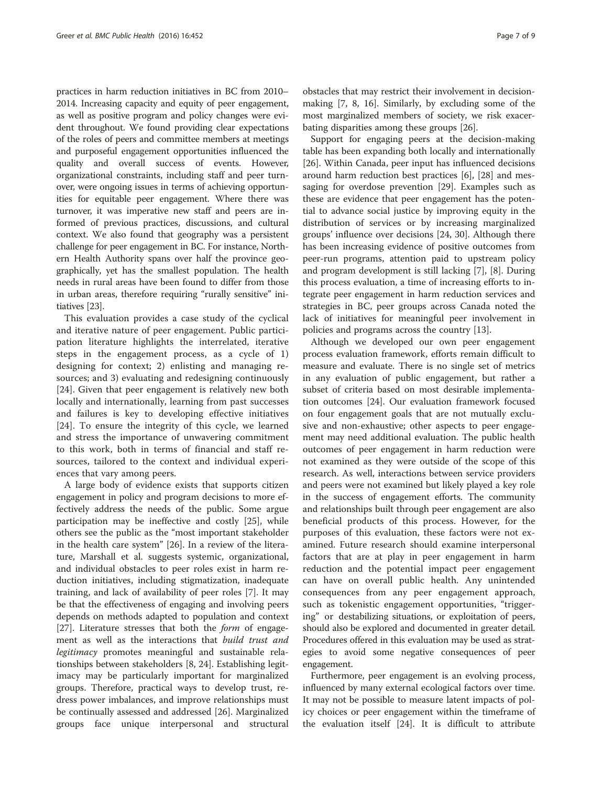practices in harm reduction initiatives in BC from 2010– 2014. Increasing capacity and equity of peer engagement, as well as positive program and policy changes were evident throughout. We found providing clear expectations of the roles of peers and committee members at meetings and purposeful engagement opportunities influenced the quality and overall success of events. However, organizational constraints, including staff and peer turnover, were ongoing issues in terms of achieving opportunities for equitable peer engagement. Where there was turnover, it was imperative new staff and peers are informed of previous practices, discussions, and cultural context. We also found that geography was a persistent challenge for peer engagement in BC. For instance, Northern Health Authority spans over half the province geographically, yet has the smallest population. The health needs in rural areas have been found to differ from those in urban areas, therefore requiring "rurally sensitive" initiatives [\[23\]](#page-8-0).

This evaluation provides a case study of the cyclical and iterative nature of peer engagement. Public participation literature highlights the interrelated, iterative steps in the engagement process, as a cycle of 1) designing for context; 2) enlisting and managing resources; and 3) evaluating and redesigning continuously [[24\]](#page-8-0). Given that peer engagement is relatively new both locally and internationally, learning from past successes and failures is key to developing effective initiatives [[24\]](#page-8-0). To ensure the integrity of this cycle, we learned and stress the importance of unwavering commitment to this work, both in terms of financial and staff resources, tailored to the context and individual experiences that vary among peers.

A large body of evidence exists that supports citizen engagement in policy and program decisions to more effectively address the needs of the public. Some argue participation may be ineffective and costly [[25](#page-8-0)], while others see the public as the "most important stakeholder in the health care system" [[26\]](#page-8-0). In a review of the literature, Marshall et al. suggests systemic, organizational, and individual obstacles to peer roles exist in harm reduction initiatives, including stigmatization, inadequate training, and lack of availability of peer roles [[7\]](#page-8-0). It may be that the effectiveness of engaging and involving peers depends on methods adapted to population and context [[27\]](#page-8-0). Literature stresses that both the *form* of engagement as well as the interactions that build trust and legitimacy promotes meaningful and sustainable relationships between stakeholders [[8, 24\]](#page-8-0). Establishing legitimacy may be particularly important for marginalized groups. Therefore, practical ways to develop trust, redress power imbalances, and improve relationships must be continually assessed and addressed [\[26\]](#page-8-0). Marginalized groups face unique interpersonal and structural

obstacles that may restrict their involvement in decisionmaking [[7, 8](#page-8-0), [16](#page-8-0)]. Similarly, by excluding some of the most marginalized members of society, we risk exacerbating disparities among these groups [[26\]](#page-8-0).

Support for engaging peers at the decision-making table has been expanding both locally and internationally [[26\]](#page-8-0). Within Canada, peer input has influenced decisions around harm reduction best practices [\[6](#page-7-0)], [[28\]](#page-8-0) and messaging for overdose prevention [[29\]](#page-8-0). Examples such as these are evidence that peer engagement has the potential to advance social justice by improving equity in the distribution of services or by increasing marginalized groups' influence over decisions [[24](#page-8-0), [30\]](#page-8-0). Although there has been increasing evidence of positive outcomes from peer-run programs, attention paid to upstream policy and program development is still lacking [[7\]](#page-8-0), [\[8](#page-8-0)]. During this process evaluation, a time of increasing efforts to integrate peer engagement in harm reduction services and strategies in BC, peer groups across Canada noted the lack of initiatives for meaningful peer involvement in policies and programs across the country [[13](#page-8-0)].

Although we developed our own peer engagement process evaluation framework, efforts remain difficult to measure and evaluate. There is no single set of metrics in any evaluation of public engagement, but rather a subset of criteria based on most desirable implementation outcomes [\[24](#page-8-0)]. Our evaluation framework focused on four engagement goals that are not mutually exclusive and non-exhaustive; other aspects to peer engagement may need additional evaluation. The public health outcomes of peer engagement in harm reduction were not examined as they were outside of the scope of this research. As well, interactions between service providers and peers were not examined but likely played a key role in the success of engagement efforts. The community and relationships built through peer engagement are also beneficial products of this process. However, for the purposes of this evaluation, these factors were not examined. Future research should examine interpersonal factors that are at play in peer engagement in harm reduction and the potential impact peer engagement can have on overall public health. Any unintended consequences from any peer engagement approach, such as tokenistic engagement opportunities, "triggering" or destabilizing situations, or exploitation of peers, should also be explored and documented in greater detail. Procedures offered in this evaluation may be used as strategies to avoid some negative consequences of peer engagement.

Furthermore, peer engagement is an evolving process, influenced by many external ecological factors over time. It may not be possible to measure latent impacts of policy choices or peer engagement within the timeframe of the evaluation itself [\[24](#page-8-0)]. It is difficult to attribute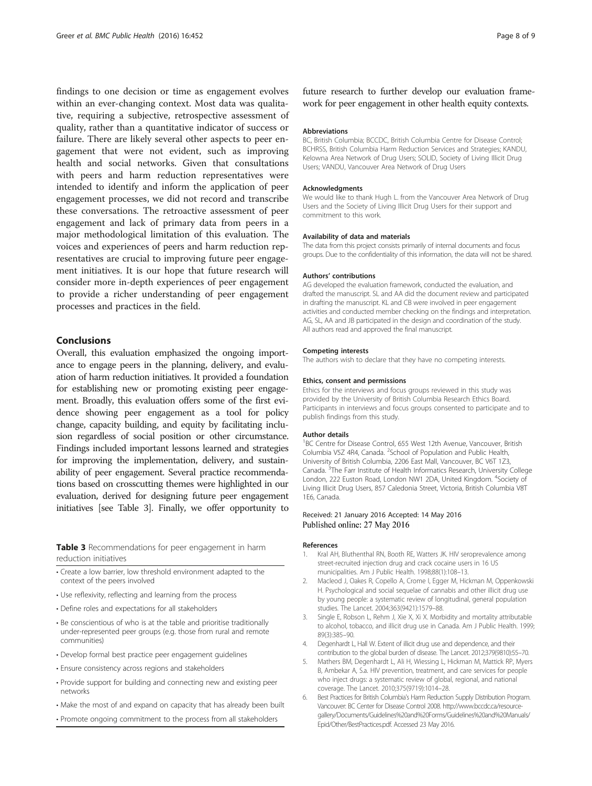<span id="page-7-0"></span>findings to one decision or time as engagement evolves within an ever-changing context. Most data was qualitative, requiring a subjective, retrospective assessment of quality, rather than a quantitative indicator of success or failure. There are likely several other aspects to peer engagement that were not evident, such as improving health and social networks. Given that consultations with peers and harm reduction representatives were intended to identify and inform the application of peer engagement processes, we did not record and transcribe these conversations. The retroactive assessment of peer engagement and lack of primary data from peers in a major methodological limitation of this evaluation. The voices and experiences of peers and harm reduction representatives are crucial to improving future peer engagement initiatives. It is our hope that future research will consider more in-depth experiences of peer engagement to provide a richer understanding of peer engagement processes and practices in the field.

## Conclusions

Overall, this evaluation emphasized the ongoing importance to engage peers in the planning, delivery, and evaluation of harm reduction initiatives. It provided a foundation for establishing new or promoting existing peer engagement. Broadly, this evaluation offers some of the first evidence showing peer engagement as a tool for policy change, capacity building, and equity by facilitating inclusion regardless of social position or other circumstance. Findings included important lessons learned and strategies for improving the implementation, delivery, and sustainability of peer engagement. Several practice recommendations based on crosscutting themes were highlighted in our evaluation, derived for designing future peer engagement initiatives [see Table 3]. Finally, we offer opportunity to

Table 3 Recommendations for peer engagement in harm reduction initiatives

- Create a low barrier, low threshold environment adapted to the context of the peers involved
- Use reflexivity, reflecting and learning from the process
- Define roles and expectations for all stakeholders
- Be conscientious of who is at the table and prioritise traditionally under-represented peer groups (e.g. those from rural and remote communities)
- Develop formal best practice peer engagement guidelines
- Ensure consistency across regions and stakeholders
- Provide support for building and connecting new and existing peer networks
- Make the most of and expand on capacity that has already been built
- Promote ongoing commitment to the process from all stakeholders

future research to further develop our evaluation framework for peer engagement in other health equity contexts.

#### Abbreviations

BC, British Columbia; BCCDC, British Columbia Centre for Disease Control; BCHRSS, British Columbia Harm Reduction Services and Strategies; KANDU, Kelowna Area Network of Drug Users; SOLID, Society of Living Illicit Drug Users; VANDU, Vancouver Area Network of Drug Users

#### **Acknowledaments**

We would like to thank Hugh L. from the Vancouver Area Network of Drug Users and the Society of Living Illicit Drug Users for their support and commitment to this work.

## Availability of data and materials

The data from this project consists primarily of internal documents and focus groups. Due to the confidentiality of this information, the data will not be shared.

#### Authors' contributions

AG developed the evaluation framework, conducted the evaluation, and drafted the manuscript. SL and AA did the document review and participated in drafting the manuscript. KL and CB were involved in peer engagement activities and conducted member checking on the findings and interpretation. AG, SL, AA and JB participated in the design and coordination of the study. All authors read and approved the final manuscript.

#### Competing interests

The authors wish to declare that they have no competing interests.

#### Ethics, consent and permissions

Ethics for the interviews and focus groups reviewed in this study was provided by the University of British Columbia Research Ethics Board. Participants in interviews and focus groups consented to participate and to publish findings from this study.

#### Author details

<sup>1</sup>BC Centre for Disease Control, 655 West 12th Avenue, Vancouver, British Columbia V5Z 4R4, Canada. <sup>2</sup>School of Population and Public Health, University of British Columbia, 2206 East Mall, Vancouver, BC V6T 1Z3, Canada. <sup>3</sup>The Farr Institute of Health Informatics Research, University College London, 222 Euston Road, London NW1 2DA, United Kingdom. <sup>4</sup>Society of Living Illicit Drug Users, 857 Caledonia Street, Victoria, British Columbia V8T 1E6, Canada.

#### Received: 21 January 2016 Accepted: 14 May 2016 Published online: 27 May 2016

#### References

- 1. Kral AH, Bluthenthal RN, Booth RE, Watters JK. HIV seroprevalence among street-recruited injection drug and crack cocaine users in 16 US municipalities. Am J Public Health. 1998;88(1):108–13.
- 2. Macleod J, Oakes R, Copello A, Crome I, Egger M, Hickman M, Oppenkowski H. Psychological and social sequelae of cannabis and other illicit drug use by young people: a systematic review of longitudinal, general population studies. The Lancet. 2004;363(9421):1579–88.
- 3. Single E, Robson L, Rehm J, Xie X, Xi X. Morbidity and mortality attributable to alcohol, tobacco, and illicit drug use in Canada. Am J Public Health. 1999; 89(3):385–90.
- 4. Degenhardt L, Hall W. Extent of illicit drug use and dependence, and their contribution to the global burden of disease. The Lancet. 2012;379(9810):55–70.
- 5. Mathers BM, Degenhardt L, Ali H, Wiessing L, Hickman M, Mattick RP, Myers B, Ambekar A, S.a. HIV prevention, treatment, and care services for people who inject drugs: a systematic review of global, regional, and national coverage. The Lancet. 2010;375(9719):1014–28.
- 6. Best Practices for British Columbia's Harm Reduction Supply Distribution Program. Vancouver: BC Center for Disease Control 2008. [http://www.bccdc.ca/resource](http://www.bccdc.ca/resource-gallery/Documents/Guidelines%20and%20Forms/Guidelines%20and%20Manuals/Epid/Other/BestPractices.pdf)[gallery/Documents/Guidelines%20and%20Forms/Guidelines%20and%20Manuals/](http://www.bccdc.ca/resource-gallery/Documents/Guidelines%20and%20Forms/Guidelines%20and%20Manuals/Epid/Other/BestPractices.pdf) [Epid/Other/BestPractices.pdf](http://www.bccdc.ca/resource-gallery/Documents/Guidelines%20and%20Forms/Guidelines%20and%20Manuals/Epid/Other/BestPractices.pdf). Accessed 23 May 2016.